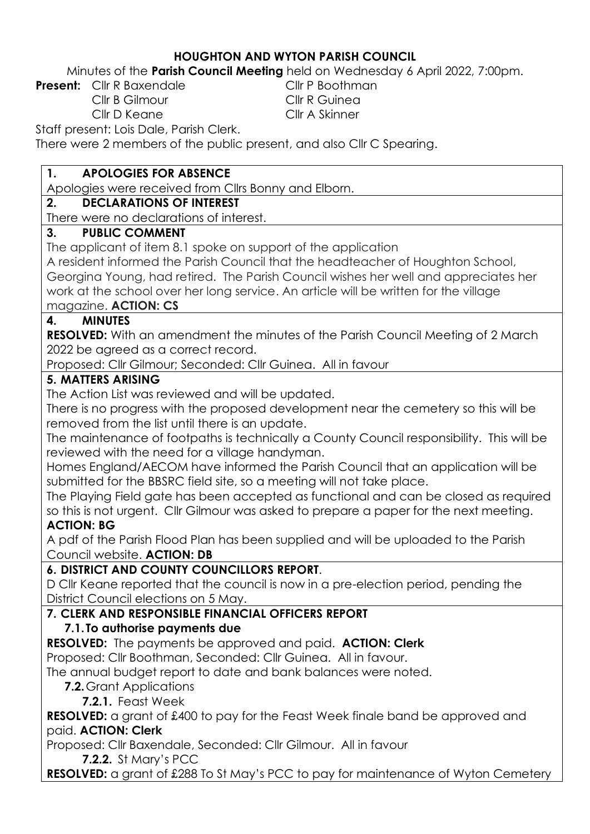#### **HOUGHTON AND WYTON PARISH COUNCIL**

Minutes of the **Parish Council Meeting** held on Wednesday 6 April 2022, 7:00pm.

**Present:** Cllr R Baxendale Cllr P Boothman

Cllr B Gilmour Cllr R Guinea Cllr D Keane Cllr A Skinner

Staff present: Lois Dale, Parish Clerk.

There were 2 members of the public present, and also Cllr C Spearing.

### **1. APOLOGIES FOR ABSENCE**

Apologies were received from Cllrs Bonny and Elborn.

## **2. DECLARATIONS OF INTEREST**

There were no declarations of interest.

### **3. PUBLIC COMMENT**

The applicant of item 8.1 spoke on support of the application

A resident informed the Parish Council that the headteacher of Houghton School, Georgina Young, had retired. The Parish Council wishes her well and appreciates her work at the school over her long service. An article will be written for the village magazine. **ACTION: CS**

## **4. MINUTES**

**RESOLVED:** With an amendment the minutes of the Parish Council Meeting of 2 March 2022 be agreed as a correct record.

Proposed: Cllr Gilmour; Seconded: Cllr Guinea. All in favour

### **5. MATTERS ARISING**

The Action List was reviewed and will be updated.

There is no progress with the proposed development near the cemetery so this will be removed from the list until there is an update.

The maintenance of footpaths is technically a County Council responsibility. This will be reviewed with the need for a village handyman.

Homes England/AECOM have informed the Parish Council that an application will be submitted for the BBSRC field site, so a meeting will not take place.

The Playing Field gate has been accepted as functional and can be closed as required so this is not urgent. Cllr Gilmour was asked to prepare a paper for the next meeting. **ACTION: BG**

A pdf of the Parish Flood Plan has been supplied and will be uploaded to the Parish Council website. **ACTION: DB**

## **6. DISTRICT AND COUNTY COUNCILLORS REPORT**.

D Cllr Keane reported that the council is now in a pre-election period, pending the District Council elections on 5 May.

## **7. CLERK AND RESPONSIBLE FINANCIAL OFFICERS REPORT**

## **7.1. To authorise payments due**

**RESOLVED:** The payments be approved and paid. **ACTION: Clerk** Proposed: Cllr Boothman, Seconded: Cllr Guinea. All in favour.

The annual budget report to date and bank balances were noted.

# **7.2.**Grant Applications

**7.2.1.** Feast Week

**RESOLVED:** a grant of £400 to pay for the Feast Week finale band be approved and paid. **ACTION: Clerk**

Proposed: Cllr Baxendale, Seconded: Cllr Gilmour. All in favour

**7.2.2.** St Mary's PCC

**RESOLVED:** a grant of £288 To St May's PCC to pay for maintenance of Wyton Cemetery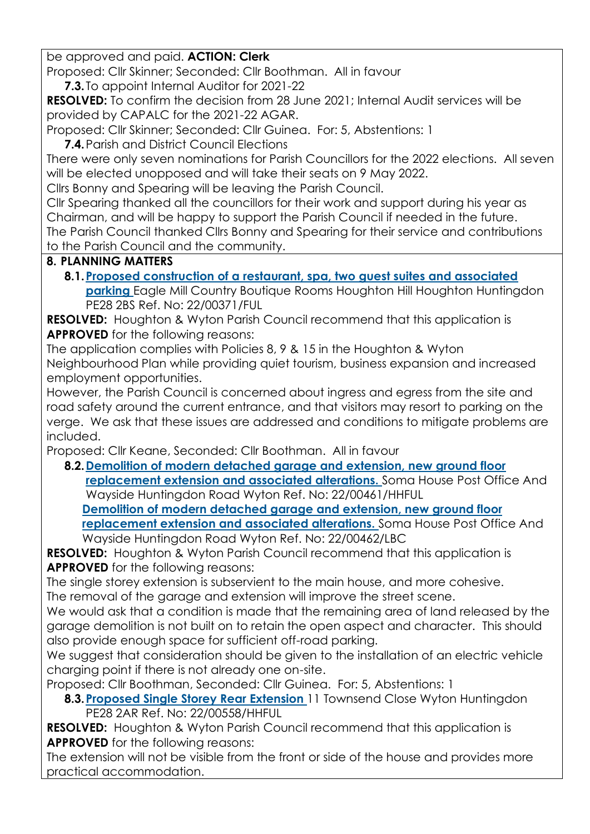be approved and paid. **ACTION: Clerk**

Proposed: Cllr Skinner; Seconded: Cllr Boothman. All in favour

**7.3.** To appoint Internal Auditor for 2021-22

**RESOLVED:** To confirm the decision from 28 June 2021; Internal Audit services will be provided by CAPALC for the 2021-22 AGAR.

Proposed: Cllr Skinner; Seconded: Cllr Guinea. For: 5, Abstentions: 1

**7.4.**Parish and District Council Elections

There were only seven nominations for Parish Councillors for the 2022 elections. All seven will be elected unopposed and will take their seats on 9 May 2022.

Cllrs Bonny and Spearing will be leaving the Parish Council.

Cllr Spearing thanked all the councillors for their work and support during his year as Chairman, and will be happy to support the Parish Council if needed in the future. The Parish Council thanked Cllrs Bonny and Spearing for their service and contributions to the Parish Council and the community.

### **8. PLANNING MATTERS**

**8.1[.Proposed construction of a restaurant, spa, two guest suites and associated](https://publicaccess.huntingdonshire.gov.uk/online-applications/applicationDetails.do?keyVal=R73J9UIKKC700&activeTab=summary)  [parking](https://publicaccess.huntingdonshire.gov.uk/online-applications/applicationDetails.do?keyVal=R73J9UIKKC700&activeTab=summary)** Eagle Mill Country Boutique Rooms Houghton Hill Houghton Huntingdon PE28 2BS Ref. No: 22/00371/FUL

**RESOLVED:** Houghton & Wyton Parish Council recommend that this application is **APPROVED** for the following reasons:

The application complies with Policies 8, 9 & 15 in the Houghton & Wyton Neighbourhood Plan while providing quiet tourism, business expansion and increased employment opportunities.

However, the Parish Council is concerned about ingress and egress from the site and road safety around the current entrance, and that visitors may resort to parking on the verge. We ask that these issues are addressed and conditions to mitigate problems are included.

Proposed: Cllr Keane, Seconded: Cllr Boothman. All in favour

**8.2[.Demolition of modern detached garage and extension, new ground floor](https://publicaccess.huntingdonshire.gov.uk/online-applications/applicationDetails.do?keyVal=R7NLKDIKKK900&activeTab=summary)  [replacement extension and associated alterations.](https://publicaccess.huntingdonshire.gov.uk/online-applications/applicationDetails.do?keyVal=R7NLKDIKKK900&activeTab=summary)** Soma House Post Office And Wayside Huntingdon Road Wyton Ref. No: 22/00461/HHFUL **[Demolition of modern detached garage and extension, new ground floor](https://publicaccess.huntingdonshire.gov.uk/online-applications/applicationDetails.do?keyVal=R7NLKLIKKKA00&activeTab=summary)  [replacement extension and associated alterations.](https://publicaccess.huntingdonshire.gov.uk/online-applications/applicationDetails.do?keyVal=R7NLKLIKKKA00&activeTab=summary)** Soma House Post Office And Wayside Huntingdon Road Wyton Ref. No: 22/00462/LBC

**RESOLVED:** Houghton & Wyton Parish Council recommend that this application is **APPROVED** for the following reasons:

The single storey extension is subservient to the main house, and more cohesive. The removal of the garage and extension will improve the street scene.

We would ask that a condition is made that the remaining area of land released by the garage demolition is not built on to retain the open aspect and character. This should also provide enough space for sufficient off-road parking.

We suggest that consideration should be given to the installation of an electric vehicle charging point if there is not already one on-site.

Proposed: Cllr Boothman, Seconded: Cllr Guinea. For: 5, Abstentions: 1

**8.3[.Proposed Single Storey Rear Extension](https://publicaccess.huntingdonshire.gov.uk/online-applications/applicationDetails.do?keyVal=R8BL9XIKKU500&activeTab=summary)** 11 Townsend Close Wyton Huntingdon PE28 2AR Ref. No: 22/00558/HHFUL

**RESOLVED:** Houghton & Wyton Parish Council recommend that this application is **APPROVED** for the following reasons:

The extension will not be visible from the front or side of the house and provides more practical accommodation.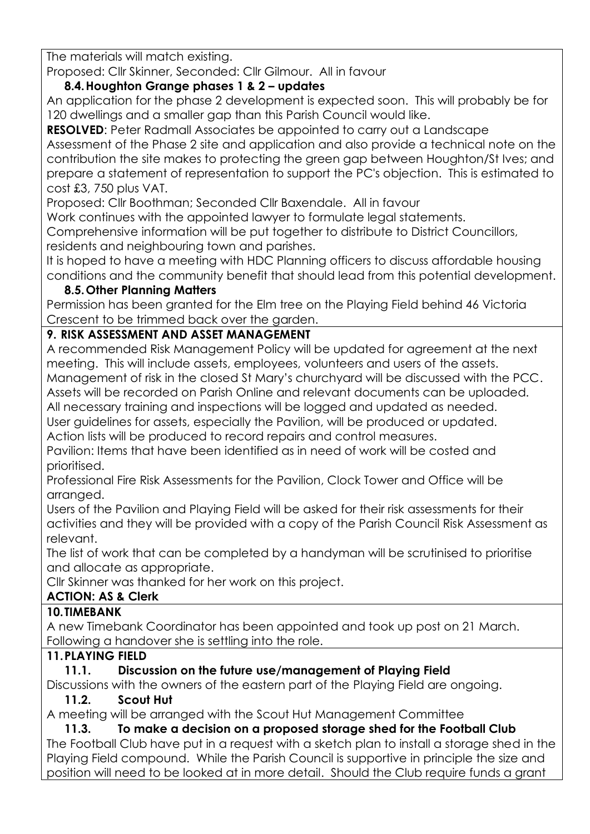The materials will match existing.

Proposed: Cllr Skinner, Seconded: Cllr Gilmour. All in favour

### **8.4.Houghton Grange phases 1 & 2 – updates**

An application for the phase 2 development is expected soon. This will probably be for 120 dwellings and a smaller gap than this Parish Council would like.

**RESOLVED:** Peter Radmall Associates be appointed to carry out a Landscape Assessment of the Phase 2 site and application and also provide a technical note on the contribution the site makes to protecting the green gap between Houghton/St Ives; and prepare a statement of representation to support the PC's objection. This is estimated to cost £3, 750 plus VAT.

Proposed: Cllr Boothman; Seconded Cllr Baxendale. All in favour

Work continues with the appointed lawyer to formulate legal statements.

Comprehensive information will be put together to distribute to District Councillors, residents and neighbouring town and parishes.

It is hoped to have a meeting with HDC Planning officers to discuss affordable housing conditions and the community benefit that should lead from this potential development.

#### **8.5.Other Planning Matters**

Permission has been granted for the Elm tree on the Playing Field behind 46 Victoria Crescent to be trimmed back over the garden.

### **9. RISK ASSESSMENT AND ASSET MANAGEMENT**

A recommended Risk Management Policy will be updated for agreement at the next meeting. This will include assets, employees, volunteers and users of the assets.

Management of risk in the closed St Mary's churchyard will be discussed with the PCC. Assets will be recorded on Parish Online and relevant documents can be uploaded. All necessary training and inspections will be logged and updated as needed.

User guidelines for assets, especially the Pavilion, will be produced or updated. Action lists will be produced to record repairs and control measures.

Pavilion: Items that have been identified as in need of work will be costed and prioritised.

Professional Fire Risk Assessments for the Pavilion, Clock Tower and Office will be arranged.

Users of the Pavilion and Playing Field will be asked for their risk assessments for their activities and they will be provided with a copy of the Parish Council Risk Assessment as relevant.

The list of work that can be completed by a handyman will be scrutinised to prioritise and allocate as appropriate.

Cllr Skinner was thanked for her work on this project.

## **ACTION: AS & Clerk**

#### **10.TIMEBANK**

A new Timebank Coordinator has been appointed and took up post on 21 March. Following a handover she is settling into the role.

#### **11.PLAYING FIELD**

## **11.1. Discussion on the future use/management of Playing Field**

Discussions with the owners of the eastern part of the Playing Field are ongoing.

#### **11.2. Scout Hut**

A meeting will be arranged with the Scout Hut Management Committee

**11.3. To make a decision on a proposed storage shed for the Football Club**  The Football Club have put in a request with a sketch plan to install a storage shed in the Playing Field compound. While the Parish Council is supportive in principle the size and position will need to be looked at in more detail. Should the Club require funds a grant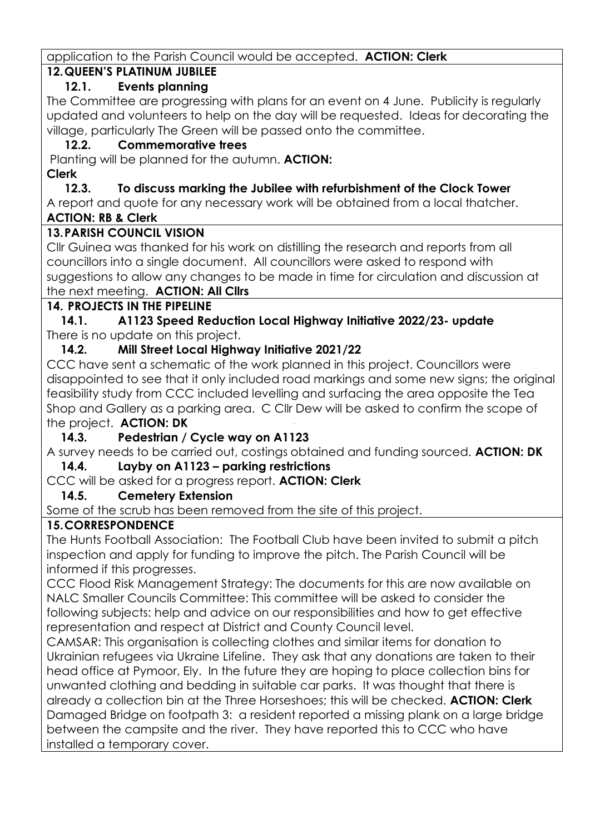application to the Parish Council would be accepted. **ACTION: Clerk**

# **12.QUEEN'S PLATINUM JUBILEE**

## **12.1. Events planning**

The Committee are progressing with plans for an event on 4 June. Publicity is regularly updated and volunteers to help on the day will be requested. Ideas for decorating the village, particularly The Green will be passed onto the committee.

# **12.2. Commemorative trees**

Planting will be planned for the autumn. **ACTION: Clerk**

## **12.3. To discuss marking the Jubilee with refurbishment of the Clock Tower**

A report and quote for any necessary work will be obtained from a local thatcher. **ACTION: RB & Clerk**

# **13.PARISH COUNCIL VISION**

Cllr Guinea was thanked for his work on distilling the research and reports from all councillors into a single document. All councillors were asked to respond with suggestions to allow any changes to be made in time for circulation and discussion at the next meeting. **ACTION: All Cllrs**

# **14. PROJECTS IN THE PIPELINE**

**14.1. A1123 Speed Reduction Local Highway Initiative 2022/23- update** There is no update on this project.

# **14.2. Mill Street Local Highway Initiative 2021/22**

CCC have sent a schematic of the work planned in this project. Councillors were disappointed to see that it only included road markings and some new signs; the original feasibility study from CCC included levelling and surfacing the area opposite the Tea Shop and Gallery as a parking area. C Cllr Dew will be asked to confirm the scope of the project. **ACTION: DK**

## **14.3. Pedestrian / Cycle way on A1123**

A survey needs to be carried out, costings obtained and funding sourced. **ACTION: DK**

#### **14.4. Layby on A1123 – parking restrictions**

# CCC will be asked for a progress report. **ACTION: Clerk**

## **14.5. Cemetery Extension**

Some of the scrub has been removed from the site of this project.

## **15.CORRESPONDENCE**

The Hunts Football Association: The Football Club have been invited to submit a pitch inspection and apply for funding to improve the pitch. The Parish Council will be informed if this progresses.

CCC Flood Risk Management Strategy: The documents for this are now available on NALC Smaller Councils Committee: This committee will be asked to consider the following subjects: help and advice on our responsibilities and how to get effective representation and respect at District and County Council level.

CAMSAR: This organisation is collecting clothes and similar items for donation to Ukrainian refugees via Ukraine Lifeline. They ask that any donations are taken to their head office at Pymoor, Ely. In the future they are hoping to place collection bins for unwanted clothing and bedding in suitable car parks. It was thought that there is already a collection bin at the Three Horseshoes; this will be checked. **ACTION: Clerk** Damaged Bridge on footpath 3: a resident reported a missing plank on a large bridge between the campsite and the river. They have reported this to CCC who have installed a temporary cover.